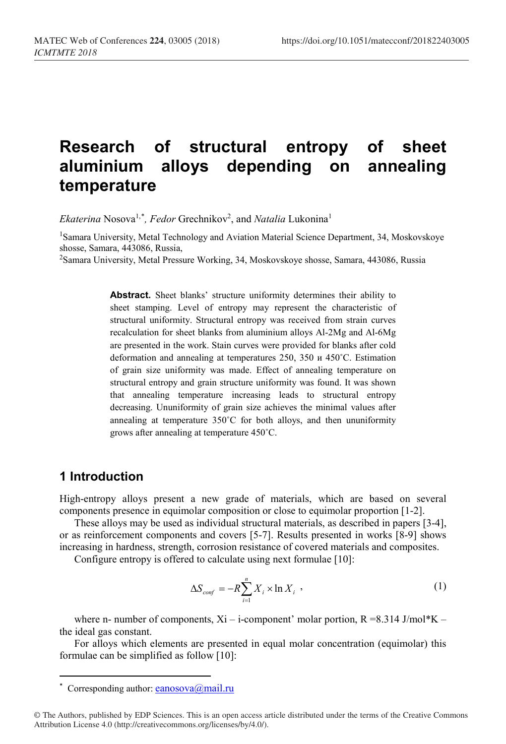# **Research of structural entropy of sheet aluminium alloys depending on annealing temperature**

Ekaterina Nosova<sup>1,[\\*](#page-0-0)</sup>, Fedor Grechnikov<sup>2</sup>, and *Natalia* Lukonina<sup>1</sup>

<sup>1</sup>Samara University, Metal Technology and Aviation Material Science Department, 34, Moskovskoye shosse, Samara, 443086, Russia,

<sup>2</sup>Samara University, Metal Pressure Working, 34, Moskovskoye shosse, Samara, 443086, Russia

**Abstract.** Sheet blanks' structure uniformity determines their ability to sheet stamping. Level of entropy may represent the characteristic of structural uniformity. Structural entropy was received from strain curves recalculation for sheet blanks from aluminium alloys Al-2Mg and Al-6Mg are presented in the work. Stain curves were provided for blanks after cold deformation and annealing at temperatures 250, 350 и 450˚С. Estimation of grain size uniformity was made. Effect of annealing temperature on structural entropy and grain structure uniformity was found. It was shown that annealing temperature increasing leads to structural entropy decreasing. Ununiformity of grain size achieves the minimal values after annealing at temperature 350˚С for both alloys, and then ununiformity grows after annealing at temperature 450˚С.

#### **1 Introduction**

 $\overline{\phantom{a}}$ 

High-entropy alloys present a new grade of materials, which are based on several components presence in equimolar composition or close to equimolar proportion [1-2].

These alloys may be used as individual structural materials, as described in papers [3-4], or as reinforcement components and covers [5-7]. Results presented in works [8-9] shows increasing in hardness, strength, corrosion resistance of covered materials and composites.

Configure entropy is offered to calculate using next formulae [10]:

$$
\Delta S_{\text{conf}} = -R \sum_{i=1}^{n} X_i \times \ln X_i \tag{1}
$$

where n- number of components,  $Xi$  – i-component' molar portion,  $R = 8.314$  J/mol\*K – the ideal gas constant.

For alloys which elements are presented in equal molar concentration (equimolar) this formulae can be simplified as follow [10]:

<sup>\*</sup> Corresponding author: eanosova@mail.ru

<span id="page-0-0"></span><sup>©</sup> The Authors, published by EDP Sciences. This is an open access article distributed under the terms of the Creative Commons Attribution License 4.0 (http://creativecommons.org/licenses/by/4.0/).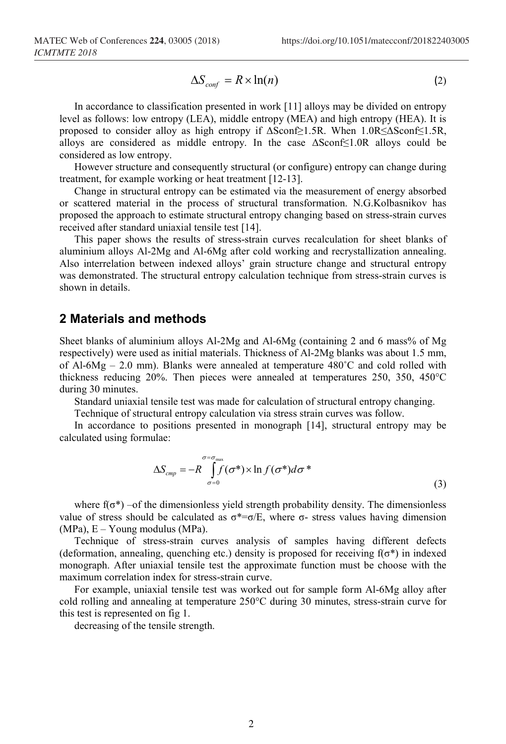$$
\Delta S_{\text{conf}} = R \times \ln(n) \tag{2}
$$

In accordance to classification presented in work [11] alloys may be divided on entropy level as follows: low entropy (LEA), middle entropy (MEA) and high entropy (HEA). It is proposed to consider alloy as high entropy if ΔSconf≥1.5R. When 1.0R≤ΔSconf≤1.5R, alloys are considered as middle entropy. In the case  $\Delta$ Sconf≤1.0R alloys could be considered as low entropy.

However structure and consequently structural (or configure) entropy can change during treatment, for example working or heat treatment [12-13].

Change in structural entropy can be estimated via the measurement of energy absorbed or scattered material in the process of structural transformation. N.G.Kolbasnikov has proposed the approach to estimate structural entropy changing based on stress-strain curves received after standard uniaxial tensile test [14].

This paper shows the results of stress-strain curves recalculation for sheet blanks of aluminium alloys Al-2Mg and Al-6Mg after cold working and recrystallization annealing. Also interrelation between indexed alloys' grain structure change and structural entropy was demonstrated. The structural entropy calculation technique from stress-strain curves is shown in details.

#### **2 Materials and methods**

Sheet blanks of aluminium alloys Al-2Mg and Al-6Mg (containing 2 and 6 mass% of Mg respectively) were used as initial materials. Thickness of Al-2Mg blanks was about 1.5 mm, of Al-6Mg – 2.0 mm). Blanks were annealed at temperature  $480^{\circ}$ C and cold rolled with thickness reducing 20%. Then pieces were annealed at temperatures 250, 350, 450°С during 30 minutes.

Standard uniaxial tensile test was made for calculation of structural entropy changing.

Technique of structural entropy calculation via stress strain curves was follow.

In accordance to positions presented in monograph [14], structural entropy may be calculated using formulae:

$$
\Delta S_{\text{cmp}} = -R \int_{\sigma=0}^{\sigma=\sigma_{\text{max}}} f(\sigma^*) \times \ln f(\sigma^*) d\sigma^* \tag{3}
$$

where  $f(\sigma^*)$  –of the dimensionless yield strength probability density. The dimensionless value of stress should be calculated as  $\sigma^* = \sigma/E$ , where  $\sigma$ - stress values having dimension  $(MPa)$ ,  $E - Young$  modulus  $(MPa)$ .

Technique of stress-strain curves analysis of samples having different defects (deformation, annealing, quenching etc.) density is proposed for receiving  $f(\sigma^*)$  in indexed monograph. After uniaxial tensile test the approximate function must be choose with the maximum correlation index for stress-strain curve.

For example, uniaxial tensile test was worked out for sample form Al-6Mg alloy after cold rolling and annealing at temperature 250°С during 30 minutes, stress-strain curve for this test is represented on fig 1.

decreasing of the tensile strength.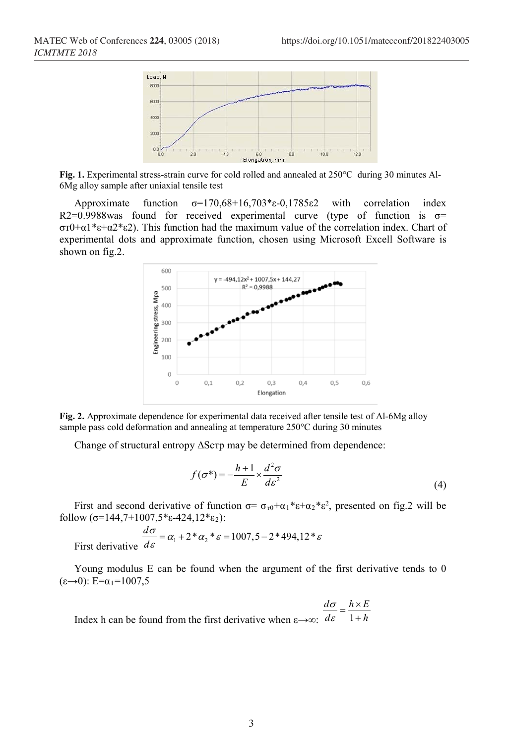

**Fig. 1.** Experimental stress-strain curve for cold rolled and annealed at 250°С during 30 minutes Al-6Mg alloy sample after uniaxial tensile test

Approximate function σ=170,68+16,703\*ε-0,1785ε2 with correlation index R2=0.9988was found for received experimental curve (type of function is  $\sigma$ = σт0+α1\*ε+α2\*ε2). This function had the maximum value of the correlation index. Chart of experimental dots and approximate function, chosen using Microsoft Excell Software is shown on fig.2.



**Fig. 2.** Approximate dependence for experimental data received after tensile test of Al-6Mg alloy sample pass cold deformation and annealing at temperature 250°C during 30 minutes

Change of structural entropy ΔSстр may be determined from dependence:

$$
f(\sigma^*) = -\frac{h+1}{E} \times \frac{d^2 \sigma}{d \varepsilon^2}
$$
 (4)

First and second derivative of function  $\sigma = \sigma_{\tau 0} + \alpha_1 * \varepsilon + \alpha_2 * \varepsilon^2$ , presented on fig.2 will be follow  $(\sigma=144,7+1007,5*_\epsilon-424,12*_\epsilon_2)$ :

First derivative 
$$
\frac{d\sigma}{d\varepsilon} = \alpha_1 + 2 * \alpha_2 * \varepsilon = 1007, 5 - 2 * 494, 12 * \varepsilon
$$

Young modulus E can be found when the argument of the first derivative tends to 0 (ε→0): Е=α1=1007,5

Index h can be found from the first derivative when  $\varepsilon \rightarrow \infty$ :  $d\varepsilon = 1 + h$  $\frac{d\sigma}{dt} = \frac{h \times E}{1}$  $1+h$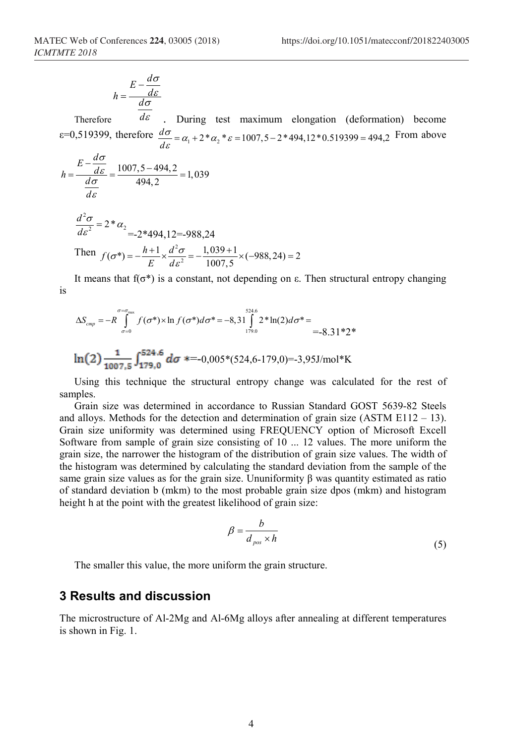$$
h = \frac{E - \frac{d\sigma}{d\varepsilon}}{d\sigma}
$$

Therefore *d* . During test maximum elongation (deformation) become  $\varepsilon$ =0,519399, therefore  $\frac{d\sigma}{d\varepsilon} = \alpha_1 + 2 * \alpha_2 * \varepsilon = 1007, 5 - 2 * 494, 12 * 0.519399 = 494, 2$  $\frac{\sigma}{\sigma_{\varepsilon}} = \alpha_1 + 2 * \alpha_2 * \varepsilon = 1007, 5 - 2 * 494, 12 * 0.519399 = 494, 2$  From above

$$
h = \frac{E - \frac{d\sigma}{d\varepsilon}}{\frac{d\sigma}{d\varepsilon}} = \frac{1007, 5 - 494, 2}{494, 2} = 1,039
$$

$$
\frac{d^2\sigma}{d\varepsilon^2} = 2 * \alpha_2
$$
  
= -2\*494,12=-988,24  
Then  $f(\sigma^*) = -\frac{h+1}{E} \times \frac{d^2\sigma}{d\varepsilon^2} = -\frac{1,039+1}{1007,5} \times (-988,24) = 2$ 

It means that  $f(\sigma^*)$  is a constant, not depending on  $\varepsilon$ . Then structural entropy changing is

$$
\Delta S_{cmp} = -R \int_{\sigma=0}^{\sigma=\sigma_{max}} f(\sigma^*) \times \ln f(\sigma^*) d\sigma^* = -8.31 \int_{179.0}^{524.6} 2 * \ln(2) d\sigma^* = -8.31 * 2 *\n\ln(2) \frac{1}{1007.5} \int_{179.0}^{524.6} d\sigma = -0.005 * (524.6 - 179.0) = -3.95 \text{J/mol}^* \text{K}
$$

Using this technique the structural entropy change was calculated for the rest of samples.

Grain size was determined in accordance to Russian Standard GOST 5639-82 Steels and alloys. Methods for the detection and determination of grain size (ASTM  $E112 - 13$ ). Grain size uniformity was determined using FREQUENCY option of Microsoft Excell Software from sample of grain size consisting of 10 ... 12 values. The more uniform the grain size, the narrower the histogram of the distribution of grain size values. The width of the histogram was determined by calculating the standard deviation from the sample of the same grain size values as for the grain size. Ununiformity  $\beta$  was quantity estimated as ratio of standard deviation b (mkm) to the most probable grain size dpos (mkm) and histogram height h at the point with the greatest likelihood of grain size:

$$
\beta = \frac{b}{d_{pos} \times h} \tag{5}
$$

The smaller this value, the more uniform the grain structure.

#### **3 Results and discussion**

The microstructure of Al-2Mg and Al-6Mg alloys after annealing at different temperatures is shown in Fig. 1.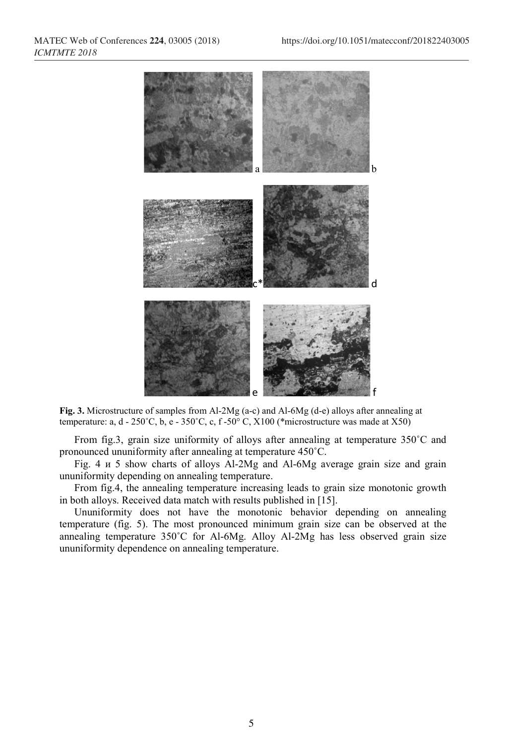

**Fig. 3.** Microstructure of samples from Al-2Mg (a-c) and Al-6Mg (d-e) alloys after annealing at temperature: a, d - 250°C, b, e - 350°C, c, f -50°C, X100 (\*microstructure was made at X50)

From fig.3, grain size uniformity of alloys after annealing at temperature 350˚C and pronounced ununiformity after annealing at temperature 450˚C.

Fig. 4 и 5 show charts of alloys Al-2Mg and Al-6Mg average grain size and grain ununiformity depending on annealing temperature.

From fig.4, the annealing temperature increasing leads to grain size monotonic growth in both alloys. Received data match with results published in [15].

Ununiformity does not have the monotonic behavior depending on annealing temperature (fig. 5). The most pronounced minimum grain size can be observed at the annealing temperature  $350^{\circ}$ C for Al-6Mg. Alloy Al-2Mg has less observed grain size ununiformity dependence on annealing temperature.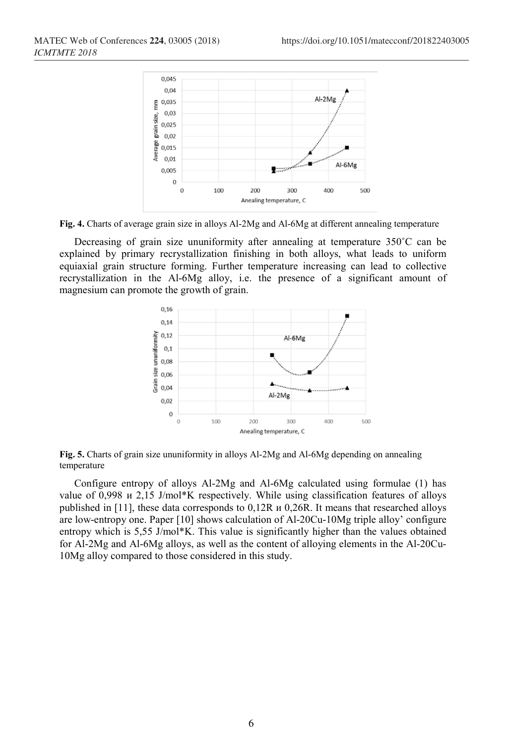

**Fig. 4.** Charts of average grain size in alloys Al-2Mg and Al-6Mg at different annealing temperature

Decreasing of grain size ununiformity after annealing at temperature 350˚C can be explained by primary recrystallization finishing in both alloys, what leads to uniform equiaxial grain structure forming. Further temperature increasing can lead to collective recrystallization in the Al-6Mg alloy, i.e. the presence of a significant amount of magnesium can promote the growth of grain.



**Fig. 5.** Charts of grain size ununiformity in alloys Al-2Mg and Al-6Mg depending on annealing temperature

Configure entropy of alloys Al-2Mg and Al-6Mg calculated using formulae (1) has value of 0,998 и 2,15 J/mol\*K respectively. While using classification features of alloys published in [11], these data corresponds to 0,12R и 0,26R. It means that researched alloys are low-entropy one. Paper [10] shows calculation of Al-20Cu-10Mg triple alloy' configure entropy which is 5,55 J/mol\*K. This value is significantly higher than the values obtained for Al-2Mg and Al-6Mg alloys, as well as the content of alloying elements in the Al-20Cu-10Mg alloy compared to those considered in this study.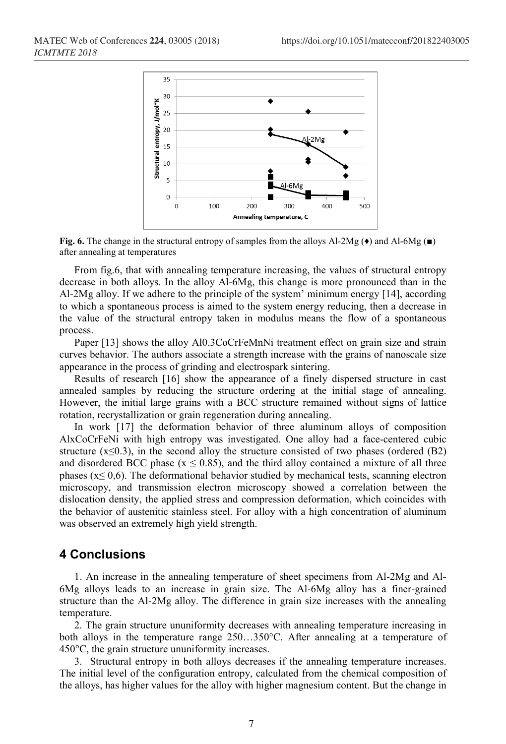

**Fig. 6.** The change in the structural entropy of samples from the alloys Al-2Mg ( $\bullet$ ) and Al-6Mg ( $\bullet$ ) after annealing at temperatures

From fig.6, that with annealing temperature increasing, the values of structural entropy decrease in both alloys. In the alloy Al-6Mg, this change is more pronounced than in the Al-2Mg alloy. If we adhere to the principle of the system' minimum energy [14], according to which a spontaneous process is aimed to the system energy reducing, then a decrease in the value of the structural entropy taken in modulus means the flow of a spontaneous process.

Paper [13] shows the alloy Al0.3CoCrFeMnNi treatment effect on grain size and strain curves behavior. The authors associate a strength increase with the grains of nanoscale size appearance in the process of grinding and electrospark sintering.

Results of research [16] show the appearance of a finely dispersed structure in cast annealed samples by reducing the structure ordering at the initial stage of annealing. However, the initial large grains with a BCC structure remained without signs of lattice rotation, recrystallization or grain regeneration during annealing.

In work [17] the deformation behavior of three aluminum alloys of composition AlxCoCrFeNi with high entropy was investigated. One alloy had a face-centered cubic structure  $(x \le 0.3)$ , in the second alloy the structure consisted of two phases (ordered  $(B2)$ ) and disordered BCC phase ( $x \le 0.85$ ), and the third alloy contained a mixture of all three phases ( $x \le 0,6$ ). The deformational behavior studied by mechanical tests, scanning electron microscopy, and transmission electron microscopy showed a correlation between the dislocation density, the applied stress and compression deformation, which coincides with the behavior of austenitic stainless steel. For alloy with a high concentration of aluminum was observed an extremely high yield strength.

### **4 Conclusions**

1. An increase in the annealing temperature of sheet specimens from Al-2Mg and Al-6Mg alloys leads to an increase in grain size. The Al-6Mg alloy has a finer-grained structure than the Al-2Mg alloy. The difference in grain size increases with the annealing temperature.

2. The grain structure ununiformity decreases with annealing temperature increasing in both alloys in the temperature range 250…350°C. After annealing at a temperature of 450°C, the grain structure ununiformity increases.

3. Structural entropy in both alloys decreases if the annealing temperature increases. The initial level of the configuration entropy, calculated from the chemical composition of the alloys, has higher values for the alloy with higher magnesium content. But the change in